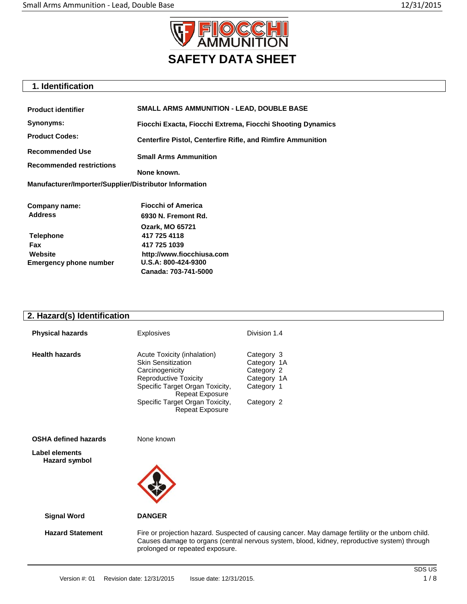

# **1. Identification**

| <b>Product identifier</b>                              | <b>SMALL ARMS AMMUNITION - LEAD, DOUBLE BASE</b>                   |  |
|--------------------------------------------------------|--------------------------------------------------------------------|--|
| Synonyms:                                              | Fiocchi Exacta, Fiocchi Extrema, Fiocchi Shooting Dynamics         |  |
| <b>Product Codes:</b>                                  | <b>Centerfire Pistol, Centerfire Rifle, and Rimfire Ammunition</b> |  |
| <b>Recommended Use</b>                                 | <b>Small Arms Ammunition</b>                                       |  |
| <b>Recommended restrictions</b>                        |                                                                    |  |
|                                                        | None known.                                                        |  |
| Manufacturer/Importer/Supplier/Distributor Information |                                                                    |  |
| Company name:                                          | <b>Fiocchi of America</b>                                          |  |
| <b>Address</b>                                         | 6930 N. Fremont Rd.                                                |  |
|                                                        | <b>Ozark, MO 65721</b>                                             |  |
| <b>Telephone</b>                                       | 417 725 4118                                                       |  |
| Fax                                                    | 417 725 1039                                                       |  |
| Website                                                | http://www.fiocchiusa.com                                          |  |
| <b>Emergency phone number</b>                          | U.S.A: 800-424-9300                                                |  |
|                                                        | Canada: 703-741-5000                                               |  |
|                                                        |                                                                    |  |

# **2. Hazard(s) Identification**

| <b>Physical hazards</b> | <b>Explosives</b>                                                                                                                                                                                                                     | Division 1.4                                                                       |
|-------------------------|---------------------------------------------------------------------------------------------------------------------------------------------------------------------------------------------------------------------------------------|------------------------------------------------------------------------------------|
| <b>Health hazards</b>   | Acute Toxicity (inhalation)<br><b>Skin Sensitization</b><br>Carcinogenicity<br><b>Reproductive Toxicity</b><br>Specific Target Organ Toxicity,<br><b>Repeat Exposure</b><br>Specific Target Organ Toxicity,<br><b>Repeat Exposure</b> | Category 3<br>Category 1A<br>Category 2<br>Category 1A<br>Category 1<br>Category 2 |

**OSHA defined hazards** None known

**Label elements Hazard symbol**



 **Signal Word DANGER**

 **Hazard Statement** Fire or projection hazard. Suspected of causing cancer. May damage fertility or the unborn child. Causes damage to organs (central nervous system, blood, kidney, reproductive system) through prolonged or repeated exposure.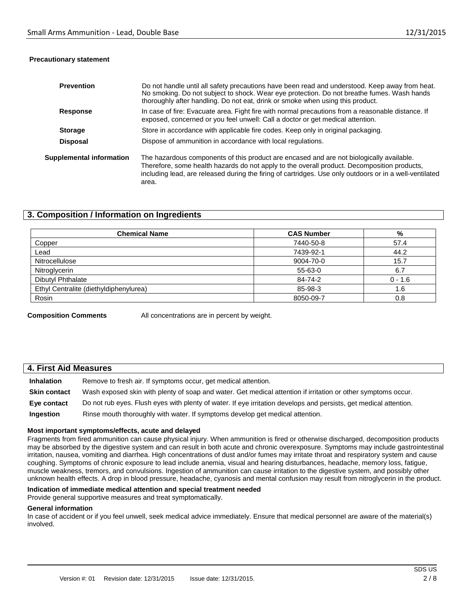### **Precautionary statement**

| <b>Prevention</b>        | Do not handle until all safety precautions have been read and understood. Keep away from heat.<br>No smoking. Do not subject to shock. Wear eye protection. Do not breathe fumes. Wash hands<br>thoroughly after handling. Do not eat, drink or smoke when using this product.                              |  |
|--------------------------|-------------------------------------------------------------------------------------------------------------------------------------------------------------------------------------------------------------------------------------------------------------------------------------------------------------|--|
| <b>Response</b>          | In case of fire: Evacuate area. Fight fire with normal precautions from a reasonable distance. If<br>exposed, concerned or you feel unwell: Call a doctor or get medical attention.                                                                                                                         |  |
| <b>Storage</b>           | Store in accordance with applicable fire codes. Keep only in original packaging.                                                                                                                                                                                                                            |  |
| <b>Disposal</b>          | Dispose of ammunition in accordance with local regulations.                                                                                                                                                                                                                                                 |  |
| Supplemental information | The hazardous components of this product are encased and are not biologically available.<br>Therefore, some health hazards do not apply to the overall product. Decomposition products,<br>including lead, are released during the firing of cartridges. Use only outdoors or in a well-ventilated<br>area. |  |

# **3. Composition / Information on Ingredients**

| <b>Chemical Name</b>                   | <b>CAS Number</b> | %         |
|----------------------------------------|-------------------|-----------|
| Copper                                 | 7440-50-8         | 57.4      |
| Lead                                   | 7439-92-1         | 44.2      |
| Nitrocellulose                         | 9004-70-0         | 15.7      |
| Nitroglycerin                          | 55-63-0           | 6.7       |
| Dibutyl Phthalate                      | 84-74-2           | $0 - 1.6$ |
| Ethyl Centralite (diethyldiphenylurea) | 85-98-3           | 1.6       |
| Rosin                                  | 8050-09-7         | 0.8       |

**Composition Comments** All concentrations are in percent by weight.

# **4. First Aid Measures**

**Inhalation** Remove to fresh air. If symptoms occur, get medical attention. **Skin contact** Wash exposed skin with plenty of soap and water. Get medical attention if irritation or other symptoms occur. **Eye contact** Do not rub eyes. Flush eyes with plenty of water. If eye irritation develops and persists, get medical attention. **Ingestion** Rinse mouth thoroughly with water. If symptoms develop get medical attention.

### **Most important symptoms/effects, acute and delayed**

Fragments from fired ammunition can cause physical injury. When ammunition is fired or otherwise discharged, decomposition products may be absorbed by the digestive system and can result in both acute and chronic overexposure. Symptoms may include gastrointestinal irritation, nausea, vomiting and diarrhea. High concentrations of dust and/or fumes may irritate throat and respiratory system and cause coughing. Symptoms of chronic exposure to lead include anemia, visual and hearing disturbances, headache, memory loss, fatigue, muscle weakness, tremors, and convulsions. Ingestion of ammunition can cause irritation to the digestive system, and possibly other unknown health effects. A drop in blood pressure, headache, cyanosis and mental confusion may result from nitroglycerin in the product.

### **Indication of immediate medical attention and special treatment needed**

Provide general supportive measures and treat symptomatically.

### **General information**

In case of accident or if you feel unwell, seek medical advice immediately. Ensure that medical personnel are aware of the material(s) involved.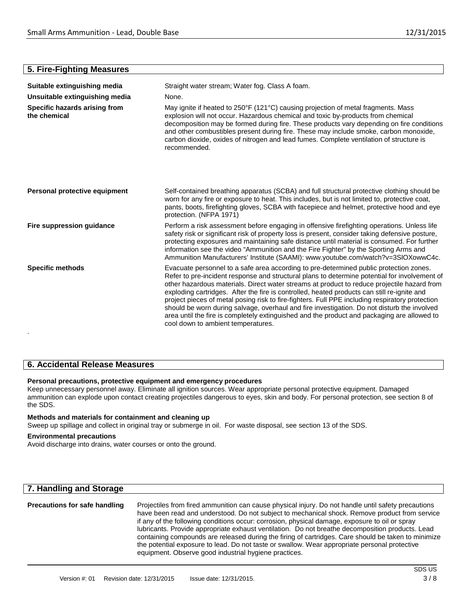# **5. Fire-Fighting Measures**

| Straight water stream; Water fog. Class A foam.                                                                                                                                                                                                                                                                                                                                                                                                                                                                                                                                                                                                                                                                              |  |
|------------------------------------------------------------------------------------------------------------------------------------------------------------------------------------------------------------------------------------------------------------------------------------------------------------------------------------------------------------------------------------------------------------------------------------------------------------------------------------------------------------------------------------------------------------------------------------------------------------------------------------------------------------------------------------------------------------------------------|--|
| None.                                                                                                                                                                                                                                                                                                                                                                                                                                                                                                                                                                                                                                                                                                                        |  |
| May ignite if heated to 250°F (121°C) causing projection of metal fragments. Mass<br>explosion will not occur. Hazardous chemical and toxic by-products from chemical<br>decomposition may be formed during fire. These products vary depending on fire conditions<br>and other combustibles present during fire. These may include smoke, carbon monoxide,<br>carbon dioxide, oxides of nitrogen and lead fumes. Complete ventilation of structure is<br>recommended.                                                                                                                                                                                                                                                       |  |
| Self-contained breathing apparatus (SCBA) and full structural protective clothing should be<br>worn for any fire or exposure to heat. This includes, but is not limited to, protective coat,<br>pants, boots, firefighting gloves, SCBA with facepiece and helmet, protective hood and eye<br>protection. (NFPA 1971)                                                                                                                                                                                                                                                                                                                                                                                                        |  |
| Perform a risk assessment before engaging in offensive firefighting operations. Unless life<br>safety risk or significant risk of property loss is present, consider taking defensive posture,<br>protecting exposures and maintaining safe distance until material is consumed. For further<br>information see the video "Ammunition and the Fire Fighter" by the Sporting Arms and<br>Ammunition Manufacturers' Institute (SAAMI): www.youtube.com/watch?v=3SIOXowwC4c.                                                                                                                                                                                                                                                    |  |
| Evacuate personnel to a safe area according to pre-determined public protection zones.<br>Refer to pre-incident response and structural plans to determine potential for involvement of<br>other hazardous materials. Direct water streams at product to reduce projectile hazard from<br>exploding cartridges. After the fire is controlled, heated products can still re-ignite and<br>project pieces of metal posing risk to fire-fighters. Full PPE including respiratory protection<br>should be worn during salvage, overhaul and fire investigation. Do not disturb the involved<br>area until the fire is completely extinguished and the product and packaging are allowed to<br>cool down to ambient temperatures. |  |
|                                                                                                                                                                                                                                                                                                                                                                                                                                                                                                                                                                                                                                                                                                                              |  |

# **6. Accidental Release Measures**

# **Personal precautions, protective equipment and emergency procedures**

Keep unnecessary personnel away. Eliminate all ignition sources. Wear appropriate personal protective equipment. Damaged ammunition can explode upon contact creating projectiles dangerous to eyes, skin and body. For personal protection, see section 8 of the SDS.

### **Methods and materials for containment and cleaning up**

Sweep up spillage and collect in original tray or submerge in oil. For waste disposal, see section 13 of the SDS.

# **Environmental precautions**

Avoid discharge into drains, water courses or onto the ground.

# **7. Handling and Storage**

| <b>Precautions for safe handling</b> | Projectiles from fired ammunition can cause physical injury. Do not handle until safety precautions |
|--------------------------------------|-----------------------------------------------------------------------------------------------------|
|                                      | have been read and understood. Do not subject to mechanical shock. Remove product from service      |
|                                      | if any of the following conditions occur: corrosion, physical damage, exposure to oil or spray      |
|                                      | lubricants. Provide appropriate exhaust ventilation. Do not breathe decomposition products. Lead    |
|                                      | containing compounds are released during the firing of cartridges. Care should be taken to minimize |
|                                      | the potential exposure to lead. Do not taste or swallow. Wear appropriate personal protective       |
|                                      | equipment. Observe good industrial hygiene practices.                                               |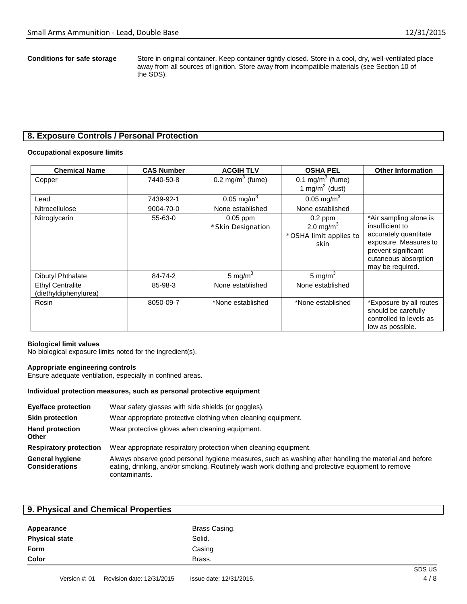**Conditions for safe storage** Store in original container. Keep container tightly closed. Store in a cool, dry, well-ventilated place away from all sources of ignition. Store away from incompatible materials (see Section 10 of the SDS).

# **8. Exposure Controls / Personal Protection**

### **Occupational exposure limits**

| <b>Chemical Name</b>                             | <b>CAS Number</b> | <b>ACGIH TLV</b>                | <b>OSHA PEL</b>                                              | <b>Other Information</b>                                                                                                                                       |
|--------------------------------------------------|-------------------|---------------------------------|--------------------------------------------------------------|----------------------------------------------------------------------------------------------------------------------------------------------------------------|
| Copper                                           | 7440-50-8         | $0.2 \text{ mg/m}^3$ (fume)     | 0.1 mg/m $3$ (fume)<br>1 mg/m $3$ (dust)                     |                                                                                                                                                                |
| Lead                                             | 7439-92-1         | 0.05 mg/m <sup>3</sup>          | $0.05 \text{ mg/m}^3$                                        |                                                                                                                                                                |
| Nitrocellulose                                   | 9004-70-0         | None established                | None established                                             |                                                                                                                                                                |
| Nitroglycerin                                    | 55-63-0           | $0.05$ ppm<br>*Skin Designation | $0.2$ ppm<br>2.0 mg/m $^3$<br>*OSHA limit applies to<br>skin | *Air sampling alone is<br>insufficient to<br>accurately quantitate<br>exposure. Measures to<br>prevent significant<br>cutaneous absorption<br>may be required. |
| <b>Dibutyl Phthalate</b>                         | 84-74-2           | 5 mg/ $m3$                      | 5 mg/m $3$                                                   |                                                                                                                                                                |
| <b>Ethyl Centralite</b><br>(diethyldiphenylurea) | 85-98-3           | None established                | None established                                             |                                                                                                                                                                |
| Rosin                                            | 8050-09-7         | *None established               | *None established                                            | *Exposure by all routes<br>should be carefully<br>controlled to levels as<br>low as possible.                                                                  |

### **Biological limit values**

No biological exposure limits noted for the ingredient(s).

### **Appropriate engineering controls**

Ensure adequate ventilation, especially in confined areas.

### **Individual protection measures, such as personal protective equipment**

| <b>Eye/face protection</b>                      | Wear safety glasses with side shields (or goggles).                                                                                                                                                                         |
|-------------------------------------------------|-----------------------------------------------------------------------------------------------------------------------------------------------------------------------------------------------------------------------------|
| <b>Skin protection</b>                          | Wear appropriate protective clothing when cleaning equipment.                                                                                                                                                               |
| <b>Hand protection</b><br><b>Other</b>          | Wear protective gloves when cleaning equipment.                                                                                                                                                                             |
| <b>Respiratory protection</b>                   | Wear appropriate respiratory protection when cleaning equipment.                                                                                                                                                            |
| <b>General hygiene</b><br><b>Considerations</b> | Always observe good personal hygiene measures, such as washing after handling the material and before<br>eating, drinking, and/or smoking. Routinely wash work clothing and protective equipment to remove<br>contaminants. |

| 9. Physical and Chemical Properties |               |        |
|-------------------------------------|---------------|--------|
| Appearance                          | Brass Casing. |        |
| <b>Physical state</b>               | Solid.        |        |
| Form                                | Casing        |        |
| <b>Color</b>                        | Brass.        |        |
|                                     |               | ------ |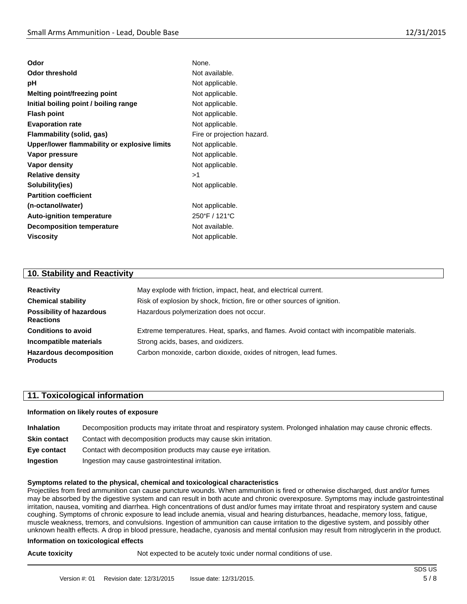| Odor                                         | None.                      |
|----------------------------------------------|----------------------------|
| <b>Odor threshold</b>                        | Not available.             |
| рH                                           | Not applicable.            |
| Melting point/freezing point                 | Not applicable.            |
| Initial boiling point / boiling range        | Not applicable.            |
| <b>Flash point</b>                           | Not applicable.            |
| <b>Evaporation rate</b>                      | Not applicable.            |
| Flammability (solid, gas)                    | Fire or projection hazard. |
| Upper/lower flammability or explosive limits | Not applicable.            |
| Vapor pressure                               | Not applicable.            |
| Vapor density                                | Not applicable.            |
| <b>Relative density</b>                      | >1                         |
| Solubility(ies)                              | Not applicable.            |
| <b>Partition coefficient</b>                 |                            |
| (n-octanol/water)                            | Not applicable.            |
| <b>Auto-ignition temperature</b>             | 250°F / 121°C              |
| <b>Decomposition temperature</b>             | Not available.             |
| <b>Viscosity</b>                             | Not applicable.            |
|                                              |                            |

# **10. Stability and Reactivity**

| <b>Reactivity</b>                                   | May explode with friction, impact, heat, and electrical current.                           |  |  |
|-----------------------------------------------------|--------------------------------------------------------------------------------------------|--|--|
| <b>Chemical stability</b>                           | Risk of explosion by shock, friction, fire or other sources of ignition.                   |  |  |
| <b>Possibility of hazardous</b><br><b>Reactions</b> | Hazardous polymerization does not occur.                                                   |  |  |
| <b>Conditions to avoid</b>                          | Extreme temperatures. Heat, sparks, and flames. Avoid contact with incompatible materials. |  |  |
| Incompatible materials                              | Strong acids, bases, and oxidizers.                                                        |  |  |
| <b>Hazardous decomposition</b><br><b>Products</b>   | Carbon monoxide, carbon dioxide, oxides of nitrogen, lead fumes.                           |  |  |

# **11. Toxicological information**

### **Information on likely routes of exposure**

| <b>Inhalation</b>   | Decomposition products may irritate throat and respiratory system. Prolonged inhalation may cause chronic effects. |
|---------------------|--------------------------------------------------------------------------------------------------------------------|
| <b>Skin contact</b> | Contact with decomposition products may cause skin irritation.                                                     |
| Eye contact         | Contact with decomposition products may cause eye irritation.                                                      |
| Ingestion           | Ingestion may cause gastrointestinal irritation.                                                                   |

### **Symptoms related to the physical, chemical and toxicological characteristics**

Projectiles from fired ammunition can cause puncture wounds. When ammunition is fired or otherwise discharged, dust and/or fumes may be absorbed by the digestive system and can result in both acute and chronic overexposure. Symptoms may include gastrointestinal irritation, nausea, vomiting and diarrhea. High concentrations of dust and/or fumes may irritate throat and respiratory system and cause coughing. Symptoms of chronic exposure to lead include anemia, visual and hearing disturbances, headache, memory loss, fatigue, muscle weakness, tremors, and convulsions. Ingestion of ammunition can cause irritation to the digestive system, and possibly other unknown health effects. A drop in blood pressure, headache, cyanosis and mental confusion may result from nitroglycerin in the product.

### **Information on toxicological effects**

**Acute toxicity Not expected to be acutely toxic under normal conditions of use.**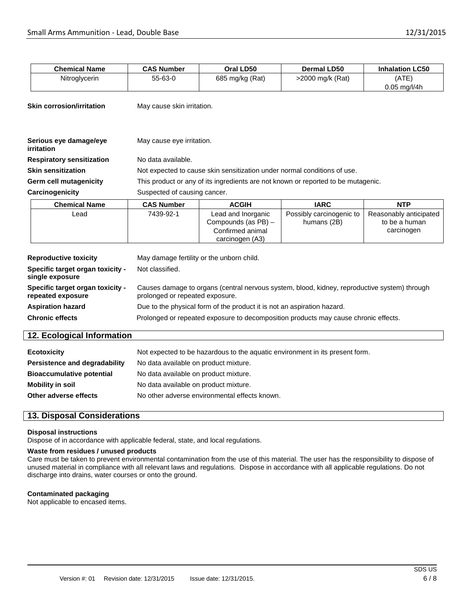| <b>Chemical Name</b>                                  | <b>CAS Number</b>                                                                                                               | Oral LD50                                                                        | Dermal LD50                             | <b>Inhalation LC50</b>                                |
|-------------------------------------------------------|---------------------------------------------------------------------------------------------------------------------------------|----------------------------------------------------------------------------------|-----------------------------------------|-------------------------------------------------------|
| Nitroglycerin                                         | 55-63-0                                                                                                                         | 685 mg/kg (Rat)                                                                  | >2000 mg/k (Rat)                        | (ATE)<br>$0.05$ mg/l/4h                               |
| <b>Skin corrosion/irritation</b>                      | May cause skin irritation.                                                                                                      |                                                                                  |                                         |                                                       |
|                                                       |                                                                                                                                 |                                                                                  |                                         |                                                       |
| Serious eye damage/eye<br>irritation                  | May cause eye irritation.                                                                                                       |                                                                                  |                                         |                                                       |
| <b>Respiratory sensitization</b>                      | No data available.                                                                                                              |                                                                                  |                                         |                                                       |
| <b>Skin sensitization</b>                             | Not expected to cause skin sensitization under normal conditions of use.                                                        |                                                                                  |                                         |                                                       |
| Germ cell mutagenicity                                | This product or any of its ingredients are not known or reported to be mutagenic.                                               |                                                                                  |                                         |                                                       |
| Carcinogenicity                                       | Suspected of causing cancer.                                                                                                    |                                                                                  |                                         |                                                       |
| <b>Chemical Name</b>                                  | <b>CAS Number</b>                                                                                                               | <b>ACGIH</b>                                                                     | <b>IARC</b>                             | <b>NTP</b>                                            |
| Lead                                                  | 7439-92-1                                                                                                                       | Lead and Inorganic<br>Compounds (as PB) -<br>Confirmed animal<br>carcinogen (A3) | Possibly carcinogenic to<br>humans (2B) | Reasonably anticipated<br>to be a human<br>carcinogen |
| <b>Reproductive toxicity</b>                          | May damage fertility or the unborn child.                                                                                       |                                                                                  |                                         |                                                       |
| Specific target organ toxicity -<br>single exposure   | Not classified.                                                                                                                 |                                                                                  |                                         |                                                       |
| Specific target organ toxicity -<br>repeated exposure | Causes damage to organs (central nervous system, blood, kidney, reproductive system) through<br>prolonged or repeated exposure. |                                                                                  |                                         |                                                       |
| <b>Aspiration hazard</b>                              | Due to the physical form of the product it is not an aspiration hazard.                                                         |                                                                                  |                                         |                                                       |
| <b>Chronic effects</b>                                | Prolonged or repeated exposure to decomposition products may cause chronic effects.                                             |                                                                                  |                                         |                                                       |
| 12. Ecological Information                            |                                                                                                                                 |                                                                                  |                                         |                                                       |
| <b>Ecotoxicity</b>                                    | Not expected to be hazardous to the aquatic environment in its present form.                                                    |                                                                                  |                                         |                                                       |
| <b>Persistence and degradability</b>                  | No data available on product mixture.                                                                                           |                                                                                  |                                         |                                                       |
| <b>Bioaccumulative potential</b>                      | No data available on product mixture.                                                                                           |                                                                                  |                                         |                                                       |
| <b>Mobility in soil</b>                               | No data available on product mixture.                                                                                           |                                                                                  |                                         |                                                       |
| Other adverse effects                                 |                                                                                                                                 | No other adverse environmental effects known.                                    |                                         |                                                       |
|                                                       |                                                                                                                                 |                                                                                  |                                         |                                                       |

# **13. Disposal Considerations**

### **Disposal instructions**

Dispose of in accordance with applicable federal, state, and local regulations.

### **Waste from residues / unused products**

Care must be taken to prevent environmental contamination from the use of this material. The user has the responsibility to dispose of unused material in compliance with all relevant laws and regulations. Dispose in accordance with all applicable regulations. Do not discharge into drains, water courses or onto the ground.

### **Contaminated packaging**

Not applicable to encased items.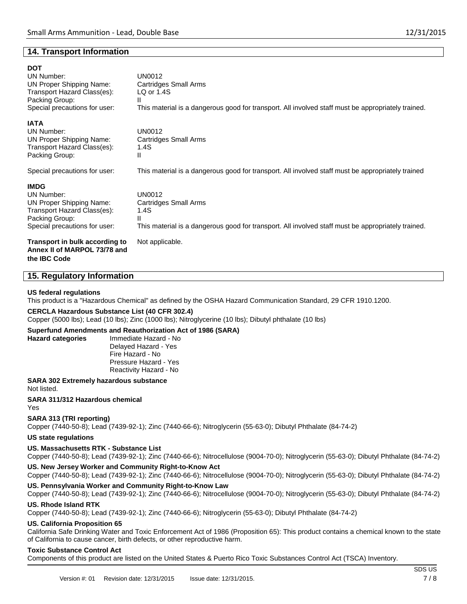# **14. Transport Information**

### **DOT**

| --<br>UN Number:<br>UN Proper Shipping Name:<br>Transport Hazard Class(es): | UN0012<br>Cartridges Small Arms<br>LQ or $1.4S$                                                    |  |  |
|-----------------------------------------------------------------------------|----------------------------------------------------------------------------------------------------|--|--|
| Packing Group:                                                              | Ш                                                                                                  |  |  |
| Special precautions for user:                                               | This material is a dangerous good for transport. All involved staff must be appropriately trained. |  |  |
| <b>IATA</b>                                                                 |                                                                                                    |  |  |
| <b>UN Number:</b>                                                           | UN0012                                                                                             |  |  |
| UN Proper Shipping Name:                                                    | Cartridges Small Arms                                                                              |  |  |
| Transport Hazard Class(es):                                                 | 1.4S                                                                                               |  |  |
| Packing Group:                                                              | Ш                                                                                                  |  |  |
| Special precautions for user:                                               | This material is a dangerous good for transport. All involved staff must be appropriately trained  |  |  |
| <b>IMDG</b>                                                                 |                                                                                                    |  |  |
| <b>UN Number:</b>                                                           | UN0012                                                                                             |  |  |
| UN Proper Shipping Name:                                                    | <b>Cartridges Small Arms</b>                                                                       |  |  |
| Transport Hazard Class(es):                                                 | 1.4S                                                                                               |  |  |
| Packing Group:                                                              | Ш                                                                                                  |  |  |
| Special precautions for user:                                               | This material is a dangerous good for transport. All involved staff must be appropriately trained. |  |  |
| Transport in bulk according to<br>Annex II of MARPOL 73/78 and              | Not applicable.                                                                                    |  |  |

### **15. Regulatory Information**

### **US federal regulations**

**the IBC Code**

This product is a "Hazardous Chemical" as defined by the OSHA Hazard Communication Standard, 29 CFR 1910.1200.

### **CERCLA Hazardous Substance List (40 CFR 302.4)**

Copper (5000 lbs); Lead (10 lbs); Zinc (1000 lbs); Nitroglycerine (10 lbs); Dibutyl phthalate (10 lbs)

# **Superfund Amendments and Reauthorization Act of 1986 (SARA)**

**Hazard categories** Immediate Hazard - No Delayed Hazard - Yes Fire Hazard - No Pressure Hazard - Yes Reactivity Hazard - No

**SARA 302 Extremely hazardous substance** Not listed.

**SARA 311/312 Hazardous chemical** Yes

### **SARA 313 (TRI reporting)**

Copper (7440-50-8); Lead (7439-92-1); Zinc (7440-66-6); Nitroglycerin (55-63-0); Dibutyl Phthalate (84-74-2)

### **US state regulations**

### **US. Massachusetts RTK - Substance List**

Copper (7440-50-8); Lead (7439-92-1); Zinc (7440-66-6); Nitrocellulose (9004-70-0); Nitroglycerin (55-63-0); Dibutyl Phthalate (84-74-2)

### **US. New Jersey Worker and Community Right-to-Know Act**

Copper (7440-50-8); Lead (7439-92-1); Zinc (7440-66-6); Nitrocellulose (9004-70-0); Nitroglycerin (55-63-0); Dibutyl Phthalate (84-74-2)

### **US. Pennsylvania Worker and Community Right-to-Know Law**

Copper (7440-50-8); Lead (7439-92-1); Zinc (7440-66-6); Nitrocellulose (9004-70-0); Nitroglycerin (55-63-0); Dibutyl Phthalate (84-74-2)

### **US. Rhode Island RTK**

Copper (7440-50-8); Lead (7439-92-1); Zinc (7440-66-6); Nitroglycerin (55-63-0); Dibutyl Phthalate (84-74-2)

# **US. California Proposition 65**

California Safe Drinking Water and Toxic Enforcement Act of 1986 (Proposition 65): This product contains a chemical known to the state of California to cause cancer, birth defects, or other reproductive harm.

### **Toxic Substance Control Act**

Components of this product are listed on the United States & Puerto Rico Toxic Substances Control Act (TSCA) Inventory.